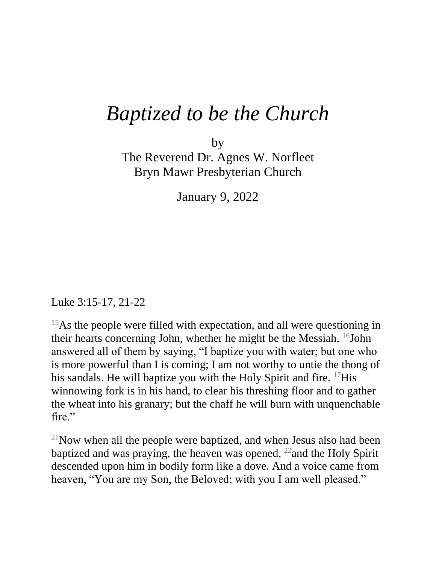## *Baptized to be the Church*

by The Reverend Dr. Agnes W. Norfleet Bryn Mawr Presbyterian Church

January 9, 2022

Luke 3:15-17, 21-22

<sup>15</sup>As the people were filled with expectation, and all were questioning in their hearts concerning John, whether he might be the Messiah,  $^{16}$ John answered all of them by saying, "I baptize you with water; but one who is more powerful than I is coming; I am not worthy to untie the thong of his sandals. He will baptize you with the Holy Spirit and fire. <sup>17</sup>His winnowing fork is in his hand, to clear his threshing floor and to gather the wheat into his granary; but the chaff he will burn with unquenchable fire."

 $21$ Now when all the people were baptized, and when Jesus also had been baptized and was praying, the heaven was opened,  $^{22}$  and the Holy Spirit descended upon him in bodily form like a dove. And a voice came from heaven, "You are my Son, the Beloved; with you I am well pleased."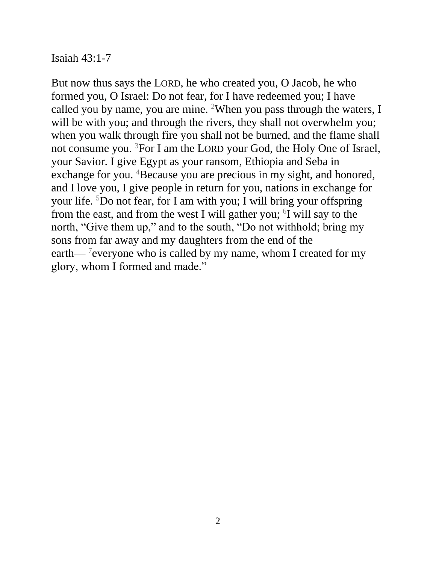Isaiah 43:1-7

But now thus says the LORD, he who created you, O Jacob, he who formed you, O Israel: Do not fear, for I have redeemed you; I have called you by name, you are mine. <sup>2</sup>When you pass through the waters, I will be with you; and through the rivers, they shall not overwhelm you; when you walk through fire you shall not be burned, and the flame shall not consume you. <sup>3</sup>For I am the LORD your God, the Holy One of Israel, your Savior. I give Egypt as your ransom, Ethiopia and Seba in exchange for you. <sup>4</sup>Because you are precious in my sight, and honored, and I love you, I give people in return for you, nations in exchange for your life. <sup>5</sup>Do not fear, for I am with you; I will bring your offspring from the east, and from the west I will gather you;  $6I$  will say to the north, "Give them up," and to the south, "Do not withhold; bring my sons from far away and my daughters from the end of the earth—<sup>7</sup> everyone who is called by my name, whom I created for my glory, whom I formed and made."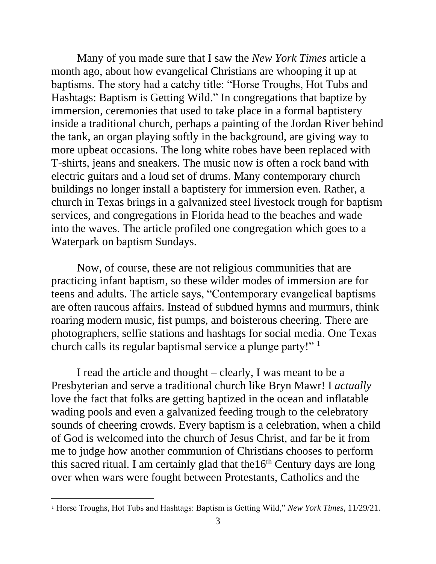Many of you made sure that I saw the *New York Times* article a month ago, about how evangelical Christians are whooping it up at baptisms. The story had a catchy title: "Horse Troughs, Hot Tubs and Hashtags: Baptism is Getting Wild." In congregations that baptize by immersion, ceremonies that used to take place in a formal baptistery inside a traditional church, perhaps a painting of the Jordan River behind the tank, an organ playing softly in the background, are giving way to more upbeat occasions. The long white robes have been replaced with T-shirts, jeans and sneakers. The music now is often a rock band with electric guitars and a loud set of drums. Many contemporary church buildings no longer install a baptistery for immersion even. Rather, a church in Texas brings in a galvanized steel livestock trough for baptism services, and congregations in Florida head to the beaches and wade into the waves. The article profiled one congregation which goes to a Waterpark on baptism Sundays.

 Now, of course, these are not religious communities that are practicing infant baptism, so these wilder modes of immersion are for teens and adults. The article says, "Contemporary evangelical baptisms are often raucous affairs. Instead of subdued hymns and murmurs, think roaring modern music, fist pumps, and boisterous cheering. There are photographers, selfie stations and hashtags for social media. One Texas church calls its regular baptismal service a plunge party!" 1

I read the article and thought – clearly, I was meant to be a Presbyterian and serve a traditional church like Bryn Mawr! I *actually*  love the fact that folks are getting baptized in the ocean and inflatable wading pools and even a galvanized feeding trough to the celebratory sounds of cheering crowds. Every baptism is a celebration, when a child of God is welcomed into the church of Jesus Christ, and far be it from me to judge how another communion of Christians chooses to perform this sacred ritual. I am certainly glad that the  $16<sup>th</sup>$  Century days are long over when wars were fought between Protestants, Catholics and the

l

<sup>1</sup> Horse Troughs, Hot Tubs and Hashtags: Baptism is Getting Wild," *New York Times*, 11/29/21.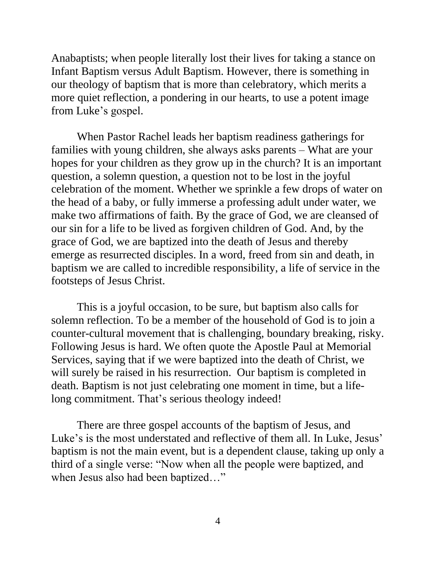Anabaptists; when people literally lost their lives for taking a stance on Infant Baptism versus Adult Baptism. However, there is something in our theology of baptism that is more than celebratory, which merits a more quiet reflection, a pondering in our hearts, to use a potent image from Luke's gospel.

 When Pastor Rachel leads her baptism readiness gatherings for families with young children, she always asks parents – What are your hopes for your children as they grow up in the church? It is an important question, a solemn question, a question not to be lost in the joyful celebration of the moment. Whether we sprinkle a few drops of water on the head of a baby, or fully immerse a professing adult under water, we make two affirmations of faith. By the grace of God, we are cleansed of our sin for a life to be lived as forgiven children of God. And, by the grace of God, we are baptized into the death of Jesus and thereby emerge as resurrected disciples. In a word, freed from sin and death, in baptism we are called to incredible responsibility, a life of service in the footsteps of Jesus Christ.

This is a joyful occasion, to be sure, but baptism also calls for solemn reflection. To be a member of the household of God is to join a counter-cultural movement that is challenging, boundary breaking, risky. Following Jesus is hard. We often quote the Apostle Paul at Memorial Services, saying that if we were baptized into the death of Christ, we will surely be raised in his resurrection. Our baptism is completed in death. Baptism is not just celebrating one moment in time, but a lifelong commitment. That's serious theology indeed!

 There are three gospel accounts of the baptism of Jesus, and Luke's is the most understated and reflective of them all. In Luke, Jesus' baptism is not the main event, but is a dependent clause, taking up only a third of a single verse: "Now when all the people were baptized, and when Jesus also had been baptized..."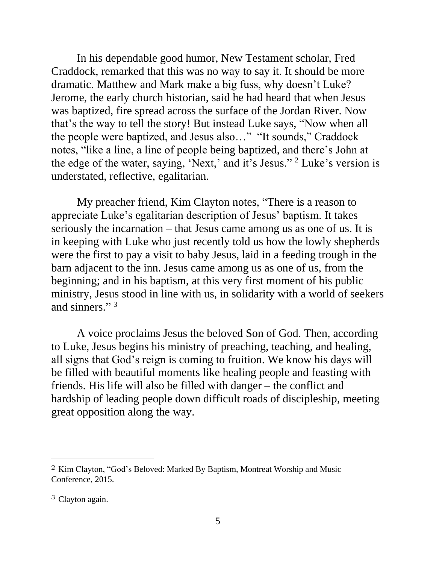In his dependable good humor, New Testament scholar, Fred Craddock, remarked that this was no way to say it. It should be more dramatic. Matthew and Mark make a big fuss, why doesn't Luke? Jerome, the early church historian, said he had heard that when Jesus was baptized, fire spread across the surface of the Jordan River. Now that's the way to tell the story! But instead Luke says, "Now when all the people were baptized, and Jesus also…" "It sounds," Craddock notes, "like a line, a line of people being baptized, and there's John at the edge of the water, saying, 'Next,' and it's Jesus." <sup>2</sup> Luke's version is understated, reflective, egalitarian.

 My preacher friend, Kim Clayton notes, "There is a reason to appreciate Luke's egalitarian description of Jesus' baptism. It takes seriously the incarnation – that Jesus came among us as one of us. It is in keeping with Luke who just recently told us how the lowly shepherds were the first to pay a visit to baby Jesus, laid in a feeding trough in the barn adjacent to the inn. Jesus came among us as one of us, from the beginning; and in his baptism, at this very first moment of his public ministry, Jesus stood in line with us, in solidarity with a world of seekers and sinners."<sup>3</sup>

A voice proclaims Jesus the beloved Son of God. Then, according to Luke, Jesus begins his ministry of preaching, teaching, and healing, all signs that God's reign is coming to fruition. We know his days will be filled with beautiful moments like healing people and feasting with friends. His life will also be filled with danger – the conflict and hardship of leading people down difficult roads of discipleship, meeting great opposition along the way.

l

<sup>2</sup> Kim Clayton, "God's Beloved: Marked By Baptism, Montreat Worship and Music Conference, 2015.

<sup>3</sup> Clayton again.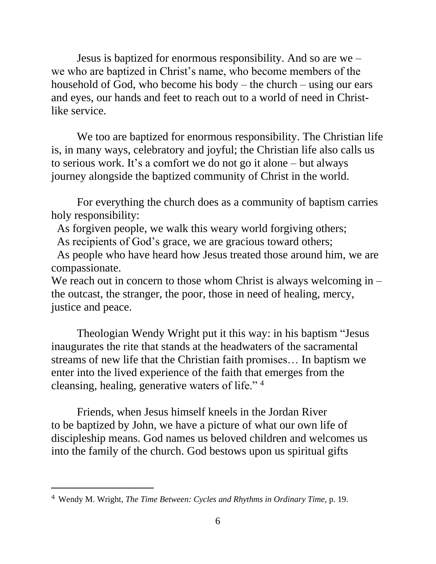Jesus is baptized for enormous responsibility. And so are we – we who are baptized in Christ's name, who become members of the household of God, who become his body – the church – using our ears and eyes, our hands and feet to reach out to a world of need in Christlike service.

We too are baptized for enormous responsibility. The Christian life is, in many ways, celebratory and joyful; the Christian life also calls us to serious work. It's a comfort we do not go it alone – but always journey alongside the baptized community of Christ in the world.

 For everything the church does as a community of baptism carries holy responsibility:

As forgiven people, we walk this weary world forgiving others;

As recipients of God's grace, we are gracious toward others;

 As people who have heard how Jesus treated those around him, we are compassionate.

We reach out in concern to those whom Christ is always welcoming in – the outcast, the stranger, the poor, those in need of healing, mercy, justice and peace.

 Theologian Wendy Wright put it this way: in his baptism "Jesus inaugurates the rite that stands at the headwaters of the sacramental streams of new life that the Christian faith promises… In baptism we enter into the lived experience of the faith that emerges from the cleansing, healing, generative waters of life." <sup>4</sup>

Friends, when Jesus himself kneels in the Jordan River to be baptized by John, we have a picture of what our own life of discipleship means. God names us beloved children and welcomes us into the family of the church. God bestows upon us spiritual gifts

l

<sup>4</sup> Wendy M. Wright, *The Time Between: Cycles and Rhythms in Ordinary Time,* p. 19.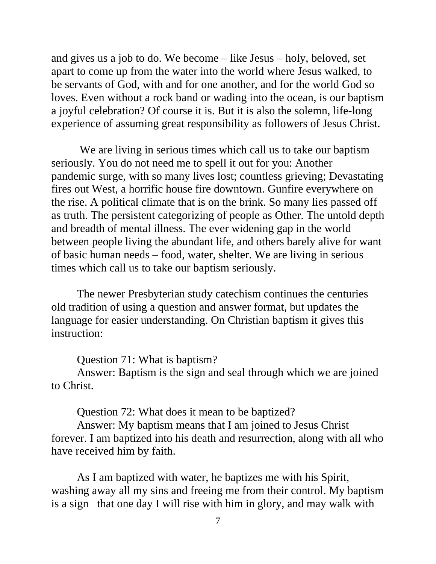and gives us a job to do. We become – like Jesus – holy, beloved, set apart to come up from the water into the world where Jesus walked, to be servants of God, with and for one another, and for the world God so loves. Even without a rock band or wading into the ocean, is our baptism a joyful celebration? Of course it is. But it is also the solemn, life-long experience of assuming great responsibility as followers of Jesus Christ.

We are living in serious times which call us to take our baptism seriously. You do not need me to spell it out for you: Another pandemic surge, with so many lives lost; countless grieving; Devastating fires out West, a horrific house fire downtown. Gunfire everywhere on the rise. A political climate that is on the brink. So many lies passed off as truth. The persistent categorizing of people as Other. The untold depth and breadth of mental illness. The ever widening gap in the world between people living the abundant life, and others barely alive for want of basic human needs – food, water, shelter. We are living in serious times which call us to take our baptism seriously.

 The newer Presbyterian study catechism continues the centuries old tradition of using a question and answer format, but updates the language for easier understanding. On Christian baptism it gives this instruction:

Question 71: What is baptism?

Answer: Baptism is the sign and seal through which we are joined to Christ.

Question 72: What does it mean to be baptized?

Answer: My baptism means that I am joined to Jesus Christ forever. I am baptized into his death and resurrection, along with all who have received him by faith.

As I am baptized with water, he baptizes me with his Spirit, washing away all my sins and freeing me from their control. My baptism is a sign that one day I will rise with him in glory, and may walk with